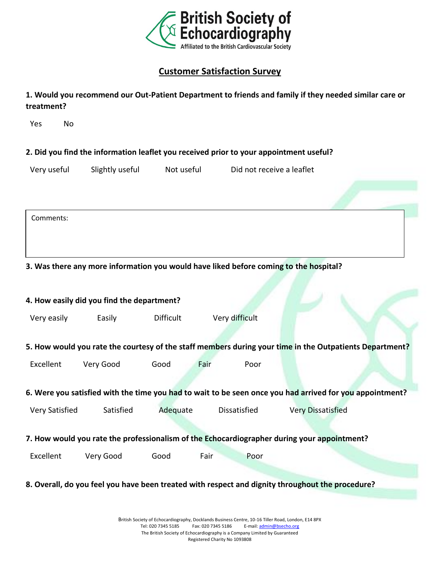

## **Customer Satisfaction Survey**

| 1. Would you recommend our Out-Patient Department to friends and family if they needed similar care or |
|--------------------------------------------------------------------------------------------------------|
| treatment?                                                                                             |

Yes No

**2. Did you find the information leaflet you received prior to your appointment useful?**

Very useful Slightly useful Not useful Did not receive a leaflet

Comments:

**3. Was there any more information you would have liked before coming to the hospital?**

| 4. How easily did you find the department?                                                               |           |                  |                |                          |  |
|----------------------------------------------------------------------------------------------------------|-----------|------------------|----------------|--------------------------|--|
| Very easily                                                                                              | Easily    | <b>Difficult</b> | Very difficult |                          |  |
|                                                                                                          |           |                  |                |                          |  |
| 5. How would you rate the courtesy of the staff members during your time in the Outpatients Department?  |           |                  |                |                          |  |
| Excellent                                                                                                | Very Good | Good             | Fair<br>Poor   |                          |  |
| 6. Were you satisfied with the time you had to wait to be seen once you had arrived for you appointment? |           |                  |                |                          |  |
| Very Satisfied                                                                                           | Satisfied | Adequate         | Dissatisfied   | <b>Very Dissatisfied</b> |  |
| 7. How would you rate the professionalism of the Echocardiographer during your appointment?              |           |                  |                |                          |  |
| Excellent                                                                                                | Very Good | Good             | Fair<br>Poor   |                          |  |
| 8. Overall, do you feel you have been treated with respect and dignity throughout the procedure?         |           |                  |                |                          |  |
|                                                                                                          |           |                  |                |                          |  |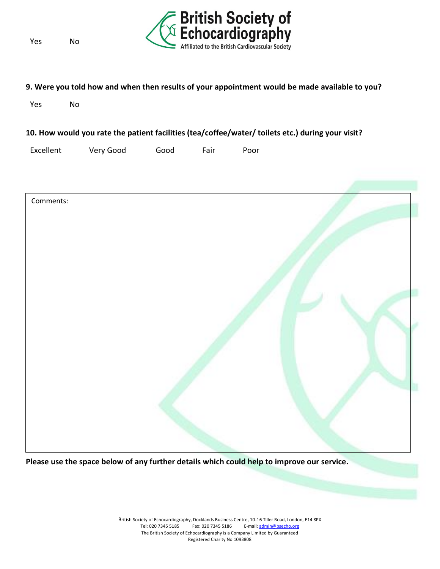Yes No



## **9. Were you told how and when then results of your appointment would be made available to you?**

Yes No

## **10. How would you rate the patient facilities (tea/coffee/water/ toilets etc.) during your visit?**

Excellent Very Good Good Fair Poor



**Please use the space below of any further details which could help to improve our service.**